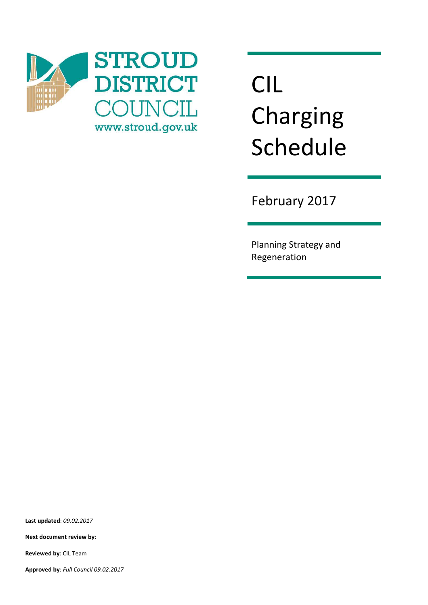

# CIL Charging Schedule

February 2017

Planning Strategy and Regeneration

**Last updated**: *09.02.2017*

**Next document review by**:

**Reviewed by**: CIL Team

**Approved by**: *Full Council 09.02.2017*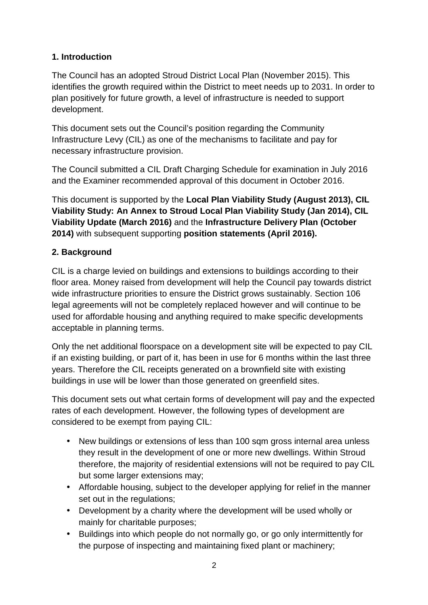## **1. Introduction**

The Council has an adopted Stroud District Local Plan (November 2015). This identifies the growth required within the District to meet needs up to 2031. In order to plan positively for future growth, a level of infrastructure is needed to support development.

This document sets out the Council's position regarding the Community Infrastructure Levy (CIL) as one of the mechanisms to facilitate and pay for necessary infrastructure provision.

The Council submitted a CIL Draft Charging Schedule for examination in July 2016 and the Examiner recommended approval of this document in October 2016.

This document is supported by the **Local Plan Viability Study (August 2013), CIL Viability Study: An Annex to Stroud Local Plan Viability Study (Jan 2014), CIL Viability Update (March 2016)** and the **Infrastructure Delivery Plan (October 2014)** with subsequent supporting **position statements (April 2016).**

## **2. Background**

CIL is a charge levied on buildings and extensions to buildings according to their floor area. Money raised from development will help the Council pay towards district wide infrastructure priorities to ensure the District grows sustainably. Section 106 legal agreements will not be completely replaced however and will continue to be used for affordable housing and anything required to make specific developments acceptable in planning terms.

Only the net additional floorspace on a development site will be expected to pay CIL if an existing building, or part of it, has been in use for 6 months within the last three years. Therefore the CIL receipts generated on a brownfield site with existing buildings in use will be lower than those generated on greenfield sites.

This document sets out what certain forms of development will pay and the expected rates of each development. However, the following types of development are considered to be exempt from paying CIL:

- New buildings or extensions of less than 100 sqm gross internal area unless they result in the development of one or more new dwellings. Within Stroud therefore, the majority of residential extensions will not be required to pay CIL but some larger extensions may;
- Affordable housing, subject to the developer applying for relief in the manner set out in the regulations;
- Development by a charity where the development will be used wholly or mainly for charitable purposes;
- Buildings into which people do not normally go, or go only intermittently for the purpose of inspecting and maintaining fixed plant or machinery;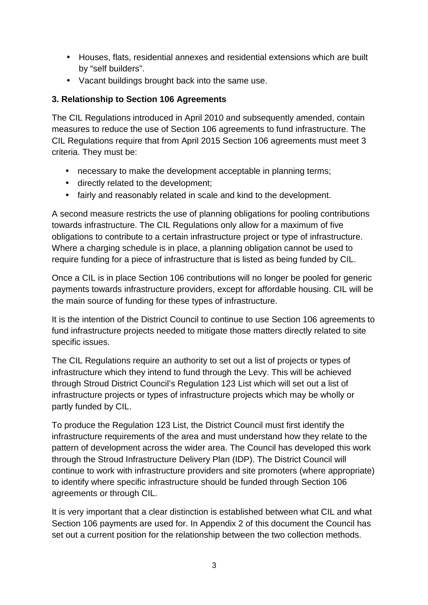- Houses, flats, residential annexes and residential extensions which are built by "self builders".
- Vacant buildings brought back into the same use.

### **3. Relationship to Section 106 Agreements**

The CIL Regulations introduced in April 2010 and subsequently amended, contain measures to reduce the use of Section 106 agreements to fund infrastructure. The CIL Regulations require that from April 2015 Section 106 agreements must meet 3 criteria. They must be:

- necessary to make the development acceptable in planning terms;
- directly related to the development;
- fairly and reasonably related in scale and kind to the development.

A second measure restricts the use of planning obligations for pooling contributions towards infrastructure. The CIL Regulations only allow for a maximum of five obligations to contribute to a certain infrastructure project or type of infrastructure. Where a charging schedule is in place, a planning obligation cannot be used to require funding for a piece of infrastructure that is listed as being funded by CIL.

Once a CIL is in place Section 106 contributions will no longer be pooled for generic payments towards infrastructure providers, except for affordable housing. CIL will be the main source of funding for these types of infrastructure.

It is the intention of the District Council to continue to use Section 106 agreements to fund infrastructure projects needed to mitigate those matters directly related to site specific issues.

The CIL Regulations require an authority to set out a list of projects or types of infrastructure which they intend to fund through the Levy. This will be achieved through Stroud District Council's Regulation 123 List which will set out a list of infrastructure projects or types of infrastructure projects which may be wholly or partly funded by CIL.

To produce the Regulation 123 List, the District Council must first identify the infrastructure requirements of the area and must understand how they relate to the pattern of development across the wider area. The Council has developed this work through the Stroud Infrastructure Delivery Plan (IDP). The District Council will continue to work with infrastructure providers and site promoters (where appropriate) to identify where specific infrastructure should be funded through Section 106 agreements or through CIL.

It is very important that a clear distinction is established between what CIL and what Section 106 payments are used for. In Appendix 2 of this document the Council has set out a current position for the relationship between the two collection methods.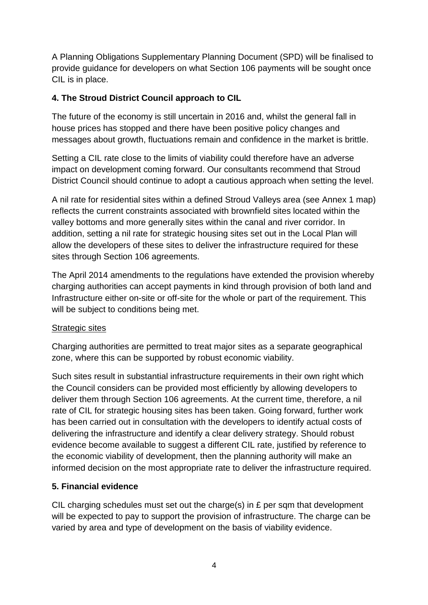A Planning Obligations Supplementary Planning Document (SPD) will be finalised to provide guidance for developers on what Section 106 payments will be sought once CIL is in place.

#### **4. The Stroud District Council approach to CIL**

The future of the economy is still uncertain in 2016 and, whilst the general fall in house prices has stopped and there have been positive policy changes and messages about growth, fluctuations remain and confidence in the market is brittle.

Setting a CIL rate close to the limits of viability could therefore have an adverse impact on development coming forward. Our consultants recommend that Stroud District Council should continue to adopt a cautious approach when setting the level.

A nil rate for residential sites within a defined Stroud Valleys area (see Annex 1 map) reflects the current constraints associated with brownfield sites located within the valley bottoms and more generally sites within the canal and river corridor. In addition, setting a nil rate for strategic housing sites set out in the Local Plan will allow the developers of these sites to deliver the infrastructure required for these sites through Section 106 agreements.

The April 2014 amendments to the regulations have extended the provision whereby charging authorities can accept payments in kind through provision of both land and Infrastructure either on-site or off-site for the whole or part of the requirement. This will be subject to conditions being met.

#### Strategic sites

Charging authorities are permitted to treat major sites as a separate geographical zone, where this can be supported by robust economic viability.

Such sites result in substantial infrastructure requirements in their own right which the Council considers can be provided most efficiently by allowing developers to deliver them through Section 106 agreements. At the current time, therefore, a nil rate of CIL for strategic housing sites has been taken. Going forward, further work has been carried out in consultation with the developers to identify actual costs of delivering the infrastructure and identify a clear delivery strategy. Should robust evidence become available to suggest a different CIL rate, justified by reference to the economic viability of development, then the planning authority will make an informed decision on the most appropriate rate to deliver the infrastructure required.

#### **5. Financial evidence**

CIL charging schedules must set out the charge(s) in £ per sqm that development will be expected to pay to support the provision of infrastructure. The charge can be varied by area and type of development on the basis of viability evidence.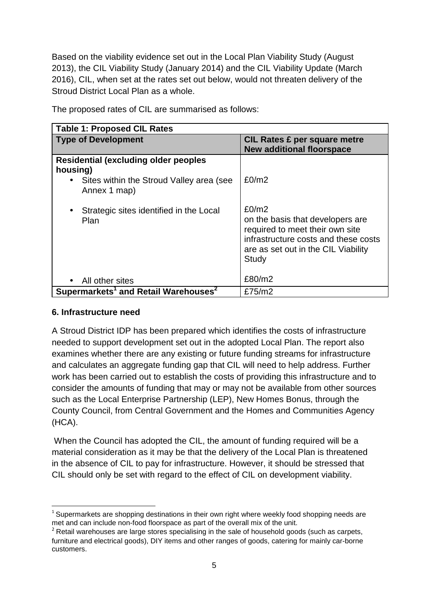Based on the viability evidence set out in the Local Plan Viability Study (August 2013), the CIL Viability Study (January 2014) and the CIL Viability Update (March 2016), CIL, when set at the rates set out below, would not threaten delivery of the Stroud District Local Plan as a whole.

| <b>Table 1: Proposed CIL Rates</b>                           |                                                                                                                                                                      |  |  |  |
|--------------------------------------------------------------|----------------------------------------------------------------------------------------------------------------------------------------------------------------------|--|--|--|
| <b>Type of Development</b>                                   | <b>CIL Rates £ per square metre</b><br><b>New additional floorspace</b>                                                                                              |  |  |  |
| <b>Residential (excluding older peoples)</b><br>housing)     |                                                                                                                                                                      |  |  |  |
| Sites within the Stroud Valley area (see<br>Annex 1 map)     | £0/m2                                                                                                                                                                |  |  |  |
| Strategic sites identified in the Local<br>Plan              | E0/m2<br>on the basis that developers are<br>required to meet their own site<br>infrastructure costs and these costs<br>are as set out in the CIL Viability<br>Study |  |  |  |
| All other sites                                              | £80/m2                                                                                                                                                               |  |  |  |
| Supermarkets <sup>1</sup> and Retail Warehouses <sup>2</sup> | £75/m2                                                                                                                                                               |  |  |  |

The proposed rates of CIL are summarised as follows:

#### **6. Infrastructure need**

A Stroud District IDP has been prepared which identifies the costs of infrastructure needed to support development set out in the adopted Local Plan. The report also examines whether there are any existing or future funding streams for infrastructure and calculates an aggregate funding gap that CIL will need to help address. Further work has been carried out to establish the costs of providing this infrastructure and to consider the amounts of funding that may or may not be available from other sources such as the Local Enterprise Partnership (LEP), New Homes Bonus, through the County Council, from Central Government and the Homes and Communities Agency (HCA).

 When the Council has adopted the CIL, the amount of funding required will be a material consideration as it may be that the delivery of the Local Plan is threatened in the absence of CIL to pay for infrastructure. However, it should be stressed that CIL should only be set with regard to the effect of CIL on development viability.

l  $1$  Supermarkets are shopping destinations in their own right where weekly food shopping needs are met and can include non-food floorspace as part of the overall mix of the unit.

 $2$  Retail warehouses are large stores specialising in the sale of household goods (such as carpets, furniture and electrical goods), DIY items and other ranges of goods, catering for mainly car-borne customers.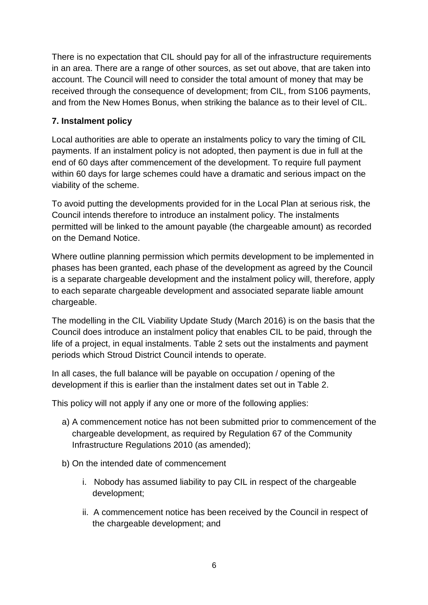There is no expectation that CIL should pay for all of the infrastructure requirements in an area. There are a range of other sources, as set out above, that are taken into account. The Council will need to consider the total amount of money that may be received through the consequence of development; from CIL, from S106 payments, and from the New Homes Bonus, when striking the balance as to their level of CIL.

#### **7. Instalment policy**

Local authorities are able to operate an instalments policy to vary the timing of CIL payments. If an instalment policy is not adopted, then payment is due in full at the end of 60 days after commencement of the development. To require full payment within 60 days for large schemes could have a dramatic and serious impact on the viability of the scheme.

To avoid putting the developments provided for in the Local Plan at serious risk, the Council intends therefore to introduce an instalment policy. The instalments permitted will be linked to the amount payable (the chargeable amount) as recorded on the Demand Notice.

Where outline planning permission which permits development to be implemented in phases has been granted, each phase of the development as agreed by the Council is a separate chargeable development and the instalment policy will, therefore, apply to each separate chargeable development and associated separate liable amount chargeable.

The modelling in the CIL Viability Update Study (March 2016) is on the basis that the Council does introduce an instalment policy that enables CIL to be paid, through the life of a project, in equal instalments. Table 2 sets out the instalments and payment periods which Stroud District Council intends to operate.

In all cases, the full balance will be payable on occupation / opening of the development if this is earlier than the instalment dates set out in Table 2.

This policy will not apply if any one or more of the following applies:

- a) A commencement notice has not been submitted prior to commencement of the chargeable development, as required by Regulation 67 of the Community Infrastructure Regulations 2010 (as amended);
- b) On the intended date of commencement
	- i. Nobody has assumed liability to pay CIL in respect of the chargeable development;
	- ii. A commencement notice has been received by the Council in respect of the chargeable development; and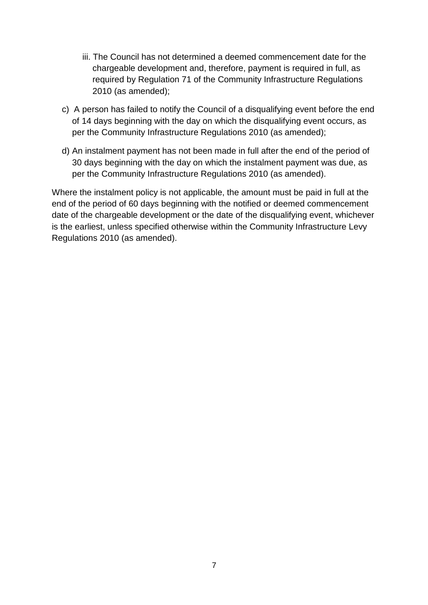- iii. The Council has not determined a deemed commencement date for the chargeable development and, therefore, payment is required in full, as required by Regulation 71 of the Community Infrastructure Regulations 2010 (as amended);
- c) A person has failed to notify the Council of a disqualifying event before the end of 14 days beginning with the day on which the disqualifying event occurs, as per the Community Infrastructure Regulations 2010 (as amended);
- d) An instalment payment has not been made in full after the end of the period of 30 days beginning with the day on which the instalment payment was due, as per the Community Infrastructure Regulations 2010 (as amended).

Where the instalment policy is not applicable, the amount must be paid in full at the end of the period of 60 days beginning with the notified or deemed commencement date of the chargeable development or the date of the disqualifying event, whichever is the earliest, unless specified otherwise within the Community Infrastructure Levy Regulations 2010 (as amended).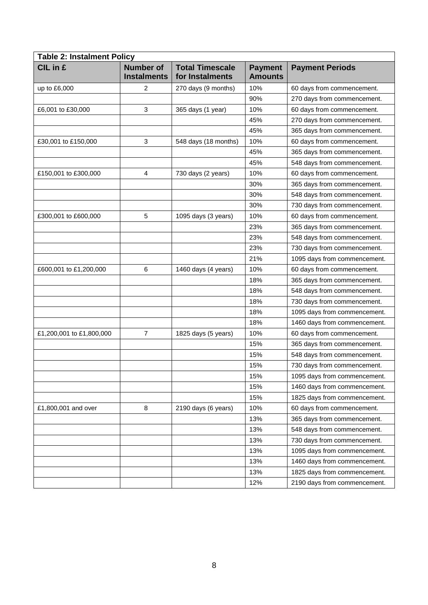| <b>Table 2: Instalment Policy</b> |                                        |                                           |                                  |                              |  |
|-----------------------------------|----------------------------------------|-------------------------------------------|----------------------------------|------------------------------|--|
| CIL in £                          | <b>Number of</b><br><b>Instalments</b> | <b>Total Timescale</b><br>for Instalments | <b>Payment</b><br><b>Amounts</b> | <b>Payment Periods</b>       |  |
| up to £6,000                      | $\overline{c}$                         | 270 days (9 months)                       | 10%                              | 60 days from commencement.   |  |
|                                   |                                        |                                           | 90%                              | 270 days from commencement.  |  |
| £6,001 to £30,000                 | 3                                      | 365 days (1 year)                         | 10%                              | 60 days from commencement.   |  |
|                                   |                                        |                                           | 45%                              | 270 days from commencement.  |  |
|                                   |                                        |                                           | 45%                              | 365 days from commencement.  |  |
| £30,001 to £150,000               | $\mathbf{3}$                           | 548 days (18 months)                      | 10%                              | 60 days from commencement.   |  |
|                                   |                                        |                                           | 45%                              | 365 days from commencement.  |  |
|                                   |                                        |                                           | 45%                              | 548 days from commencement.  |  |
| £150,001 to £300,000              | 4                                      | 730 days (2 years)                        | 10%                              | 60 days from commencement.   |  |
|                                   |                                        |                                           | 30%                              | 365 days from commencement.  |  |
|                                   |                                        |                                           | 30%                              | 548 days from commencement.  |  |
|                                   |                                        |                                           | 30%                              | 730 days from commencement.  |  |
| £300,001 to £600,000              | 5                                      | 1095 days (3 years)                       | 10%                              | 60 days from commencement.   |  |
|                                   |                                        |                                           | 23%                              | 365 days from commencement.  |  |
|                                   |                                        |                                           | 23%                              | 548 days from commencement.  |  |
|                                   |                                        |                                           | 23%                              | 730 days from commencement.  |  |
|                                   |                                        |                                           | 21%                              | 1095 days from commencement. |  |
| £600,001 to £1,200,000            | 6                                      | 1460 days (4 years)                       | 10%                              | 60 days from commencement.   |  |
|                                   |                                        |                                           | 18%                              | 365 days from commencement.  |  |
|                                   |                                        |                                           | 18%                              | 548 days from commencement.  |  |
|                                   |                                        |                                           | 18%                              | 730 days from commencement.  |  |
|                                   |                                        |                                           | 18%                              | 1095 days from commencement. |  |
|                                   |                                        |                                           | 18%                              | 1460 days from commencement. |  |
| £1,200,001 to £1,800,000          | $\overline{7}$                         | 1825 days (5 years)                       | 10%                              | 60 days from commencement.   |  |
|                                   |                                        |                                           | 15%                              | 365 days from commencement.  |  |
|                                   |                                        |                                           | 15%                              | 548 days from commencement.  |  |
|                                   |                                        |                                           | 15%                              | 730 days from commencement.  |  |
|                                   |                                        |                                           | 15%                              | 1095 days from commencement. |  |
|                                   |                                        |                                           | 15%                              | 1460 days from commencement. |  |
|                                   |                                        |                                           | 15%                              | 1825 days from commencement. |  |
| £1,800,001 and over               | 8                                      | 2190 days (6 years)                       | 10%                              | 60 days from commencement.   |  |
|                                   |                                        |                                           | 13%                              | 365 days from commencement.  |  |
|                                   |                                        |                                           | 13%                              | 548 days from commencement.  |  |
|                                   |                                        |                                           | 13%                              | 730 days from commencement.  |  |
|                                   |                                        |                                           | 13%                              | 1095 days from commencement. |  |
|                                   |                                        |                                           | 13%                              | 1460 days from commencement. |  |
|                                   |                                        |                                           | 13%                              | 1825 days from commencement. |  |
|                                   |                                        |                                           | 12%                              | 2190 days from commencement. |  |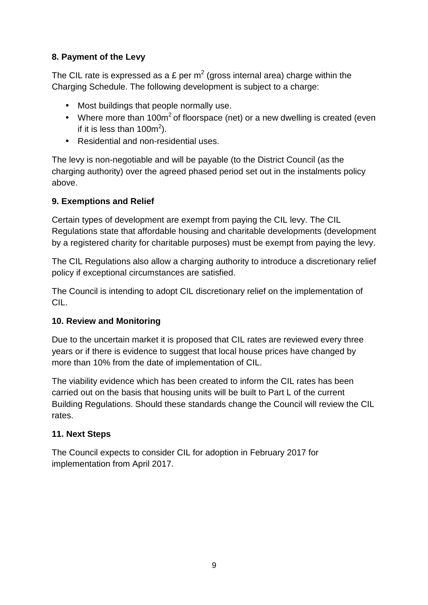## **8. Payment of the Levy**

The CIL rate is expressed as a £ per m<sup>2</sup> (gross internal area) charge within the Charging Schedule. The following development is subject to a charge:

- Most buildings that people normally use.
- Where more than 100 $m^2$  of floorspace (net) or a new dwelling is created (even if it is less than 100m<sup>2</sup>).
- Residential and non-residential uses.

The levy is non-negotiable and will be payable (to the District Council (as the charging authority) over the agreed phased period set out in the instalments policy above.

## **9. Exemptions and Relief**

Certain types of development are exempt from paying the CIL levy. The CIL Regulations state that affordable housing and charitable developments (development by a registered charity for charitable purposes) must be exempt from paying the levy.

The CIL Regulations also allow a charging authority to introduce a discretionary relief policy if exceptional circumstances are satisfied.

The Council is intending to adopt CIL discretionary relief on the implementation of CIL.

## **10. Review and Monitoring**

Due to the uncertain market it is proposed that CIL rates are reviewed every three years or if there is evidence to suggest that local house prices have changed by more than 10% from the date of implementation of CIL.

The viability evidence which has been created to inform the CIL rates has been carried out on the basis that housing units will be built to Part L of the current Building Regulations. Should these standards change the Council will review the CIL rates.

## **11. Next Steps**

The Council expects to consider CIL for adoption in February 2017 for implementation from April 2017.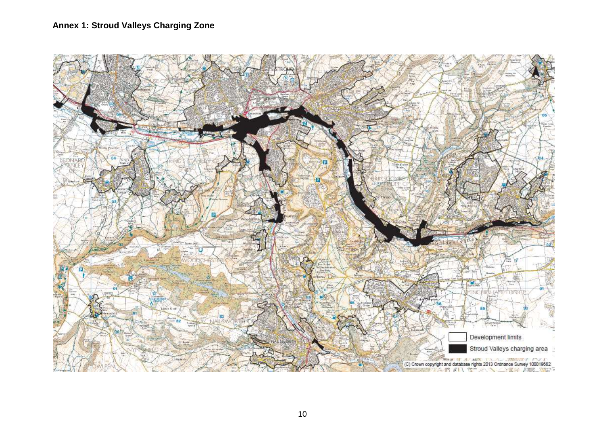## **Annex 1: Stroud Valleys Charging Zone**

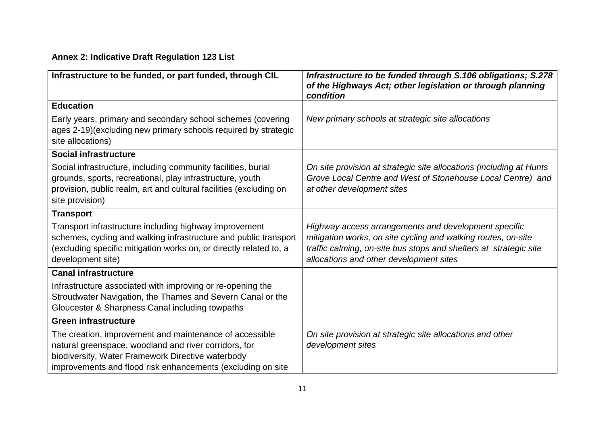## **Annex 2: Indicative Draft Regulation 123 List**

| Infrastructure to be funded, or part funded, through CIL                                                                                                                                                                             | Infrastructure to be funded through S.106 obligations; S.278<br>of the Highways Act; other legislation or through planning<br>condition                                                                                               |
|--------------------------------------------------------------------------------------------------------------------------------------------------------------------------------------------------------------------------------------|---------------------------------------------------------------------------------------------------------------------------------------------------------------------------------------------------------------------------------------|
| <b>Education</b>                                                                                                                                                                                                                     |                                                                                                                                                                                                                                       |
| Early years, primary and secondary school schemes (covering<br>ages 2-19) (excluding new primary schools required by strategic<br>site allocations)                                                                                  | New primary schools at strategic site allocations                                                                                                                                                                                     |
| <b>Social infrastructure</b>                                                                                                                                                                                                         |                                                                                                                                                                                                                                       |
| Social infrastructure, including community facilities, burial<br>grounds, sports, recreational, play infrastructure, youth<br>provision, public realm, art and cultural facilities (excluding on<br>site provision)                  | On site provision at strategic site allocations (including at Hunts<br>Grove Local Centre and West of Stonehouse Local Centre) and<br>at other development sites                                                                      |
| <b>Transport</b>                                                                                                                                                                                                                     |                                                                                                                                                                                                                                       |
| Transport infrastructure including highway improvement<br>schemes, cycling and walking infrastructure and public transport<br>(excluding specific mitigation works on, or directly related to, a<br>development site)                | Highway access arrangements and development specific<br>mitigation works, on site cycling and walking routes, on-site<br>traffic calming, on-site bus stops and shelters at strategic site<br>allocations and other development sites |
| <b>Canal infrastructure</b>                                                                                                                                                                                                          |                                                                                                                                                                                                                                       |
| Infrastructure associated with improving or re-opening the<br>Stroudwater Navigation, the Thames and Severn Canal or the<br>Gloucester & Sharpness Canal including towpaths                                                          |                                                                                                                                                                                                                                       |
| <b>Green infrastructure</b>                                                                                                                                                                                                          |                                                                                                                                                                                                                                       |
| The creation, improvement and maintenance of accessible<br>natural greenspace, woodland and river corridors, for<br>biodiversity, Water Framework Directive waterbody<br>improvements and flood risk enhancements (excluding on site | On site provision at strategic site allocations and other<br>development sites                                                                                                                                                        |